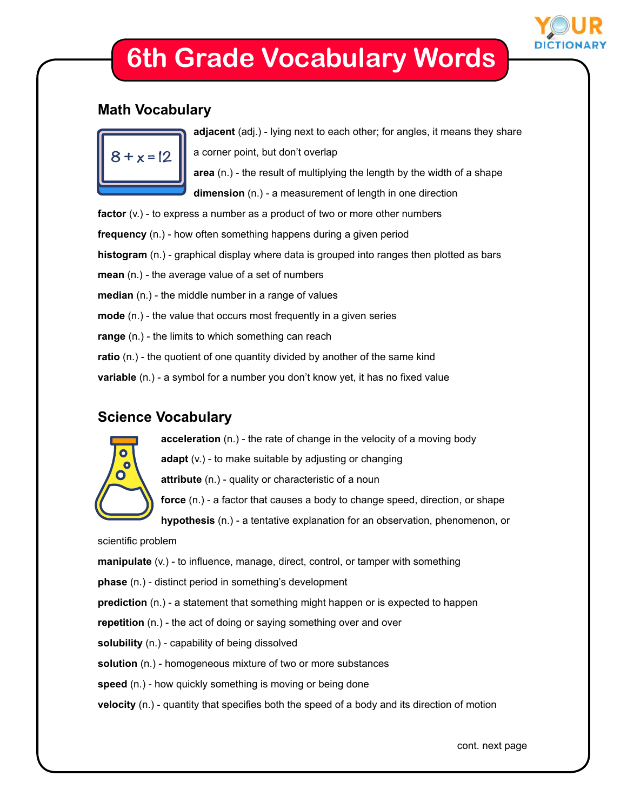

# **6th Grade Vocabulary Words**

#### **Math Vocabulary**



**adjacent** (adj.) - lying next to each other; for angles, it means they share a corner point, but don't overlap **area** (n.) - the result of multiplying the length by the width of a shape **dimension** (n.) - a measurement of length in one direction

**factor** (v.) - to express a number as a product of two or more other numbers **frequency** (n.) - how often something happens during a given period **histogram** (n.) - graphical display where data is grouped into ranges then plotted as bars **mean** (n.) - the average value of a set of numbers **median** (n.) - the middle number in a range of values **mode** (n.) - the value that occurs most frequently in a given series **range** (n.) - the limits to which something can reach **ratio** (n.) - the quotient of one quantity divided by another of the same kind **variable** (n.) - a symbol for a number you don't know yet, it has no fixed value

### **Science Vocabulary**



**acceleration** (n.) - the rate of change in the velocity of a moving body

**adapt** (v.) - to make suitable by adjusting or changing

**attribute** (n.) - quality or characteristic of a noun

**force** (n.) - a factor that causes a body to change speed, direction, or shape

**hypothesis** (n.) - a tentative explanation for an observation, phenomenon, or

scientific problem

**manipulate** (v.) - to influence, manage, direct, control, or tamper with something **phase** (n.) - distinct period in something's development **prediction** (n.) - a statement that something might happen or is expected to happen **repetition** (n.) - the act of doing or saying something over and over **solubility** (n.) - capability of being dissolved **solution** (n.) - homogeneous mixture of two or more substances **speed** (n.) - how quickly something is moving or being done **velocity** (n.) - quantity that specifies both the speed of a body and its direction of motion

cont. next page